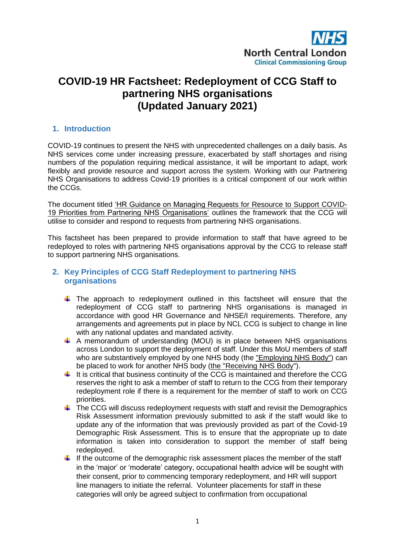

# **COVID-19 HR Factsheet: Redeployment of CCG Staff to partnering NHS organisations (Updated January 2021)**

## **1. Introduction**

COVID-19 continues to present the NHS with unprecedented challenges on a daily basis. As NHS services come under increasing pressure, exacerbated by staff shortages and rising numbers of the population requiring medical assistance, it will be important to adapt, work flexibly and provide resource and support across the system. Working with our Partnering NHS Organisations to address Covid-19 priorities is a critical component of our work within the CCGs.

The document titled 'HR Guidance on Managing Requests for Resource to Support COVID-19 Priorities from Partnering NHS Organisations' outlines the framework that the CCG will utilise to consider and respond to requests from partnering NHS organisations.

This factsheet has been prepared to provide information to staff that have agreed to be redeployed to roles with partnering NHS organisations approval by the CCG to release staff to support partnering NHS organisations.

## **2. Key Principles of CCG Staff Redeployment to partnering NHS organisations**

- $\ddot{\phantom{1}}$  The approach to redeployment outlined in this factsheet will ensure that the redeployment of CCG staff to partnering NHS organisations is managed in accordance with good HR Governance and NHSE/I requirements. Therefore, any arrangements and agreements put in place by NCL CCG is subject to change in line with any national updates and mandated activity.
- $\uparrow$  A memorandum of understanding (MOU) is in place between NHS organisations across London to support the deployment of staff. Under this MoU members of staff who are substantively employed by one NHS body (the "Employing NHS Body") can be placed to work for another NHS body (the "Receiving NHS Body").
- $\pm$  It is critical that business continuity of the CCG is maintained and therefore the CCG reserves the right to ask a member of staff to return to the CCG from their temporary redeployment role if there is a requirement for the member of staff to work on CCG priorities.
- $\ddot{\phantom{1}}$  The CCG will discuss redeployment requests with staff and revisit the Demographics Risk Assessment information previously submitted to ask if the staff would like to update any of the information that was previously provided as part of the Covid-19 Demographic Risk Assessment. This is to ensure that the appropriate up to date information is taken into consideration to support the member of staff being redeployed.
- $\ddot{\text{I}}$  If the outcome of the demographic risk assessment places the member of the staff in the 'major' or 'moderate' category, occupational health advice will be sought with their consent, prior to commencing temporary redeployment, and HR will support line managers to initiate the referral. Volunteer placements for staff in these categories will only be agreed subject to confirmation from occupational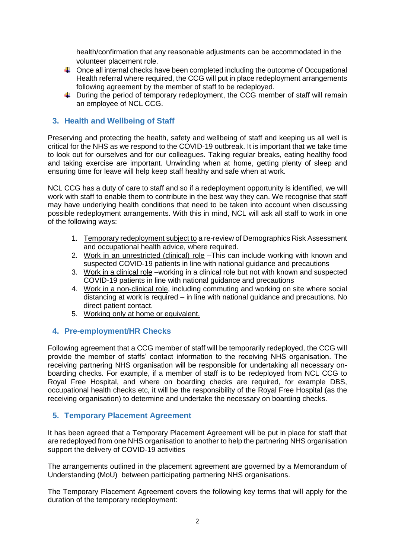health/confirmation that any reasonable adjustments can be accommodated in the volunteer placement role.

- $\ddot{\phantom{1}}$  Once all internal checks have been completed including the outcome of Occupational Health referral where required, the CCG will put in place redeployment arrangements following agreement by the member of staff to be redeployed.
- $\ddot{\phantom{1}}$  During the period of temporary redeployment, the CCG member of staff will remain an employee of NCL CCG.

# **3. Health and Wellbeing of Staff**

Preserving and protecting the health, safety and wellbeing of staff and keeping us all well is critical for the NHS as we respond to the COVID-19 outbreak. It is important that we take time to look out for ourselves and for our colleagues. Taking regular breaks, eating healthy food and taking exercise are important. Unwinding when at home, getting plenty of sleep and ensuring time for leave will help keep staff healthy and safe when at work.

NCL CCG has a duty of care to staff and so if a redeployment opportunity is identified, we will work with staff to enable them to contribute in the best way they can. We recognise that staff may have underlying health conditions that need to be taken into account when discussing possible redeployment arrangements. With this in mind, NCL will ask all staff to work in one of the following ways:

- 1. Temporary redeployment subject to a re-review of Demographics Risk Assessment and occupational health advice, where required.
- 2. Work in an unrestricted (clinical) role –This can include working with known and suspected COVID-19 patients in line with national guidance and precautions
- 3. Work in a clinical role –working in a clinical role but not with known and suspected COVID-19 patients in line with national guidance and precautions
- 4. Work in a non-clinical role, including commuting and working on site where social distancing at work is required – in line with national guidance and precautions. No direct patient contact.
- 5. Working only at home or equivalent.

# **4. Pre-employment/HR Checks**

Following agreement that a CCG member of staff will be temporarily redeployed, the CCG will provide the member of staffs' contact information to the receiving NHS organisation. The receiving partnering NHS organisation will be responsible for undertaking all necessary onboarding checks. For example, if a member of staff is to be redeployed from NCL CCG to Royal Free Hospital, and where on boarding checks are required, for example DBS, occupational health checks etc, it will be the responsibility of the Royal Free Hospital (as the receiving organisation) to determine and undertake the necessary on boarding checks.

# **5. Temporary Placement Agreement**

It has been agreed that a Temporary Placement Agreement will be put in place for staff that are redeployed from one NHS organisation to another to help the partnering NHS organisation support the delivery of COVID-19 activities

The arrangements outlined in the placement agreement are governed by a Memorandum of Understanding (MoU) between participating partnering NHS organisations.

The Temporary Placement Agreement covers the following key terms that will apply for the duration of the temporary redeployment: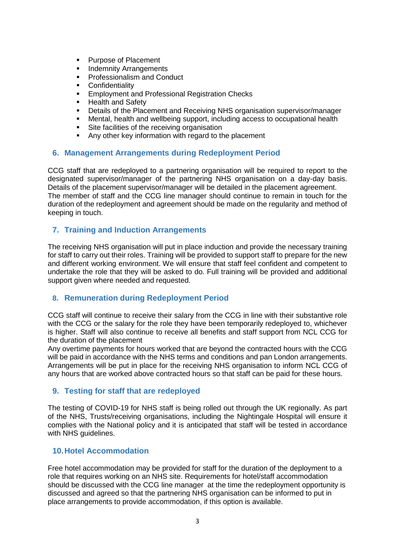- Purpose of Placement
- **Indemnity Arrangements**
- Professionalism and Conduct
- **Confidentiality**
- Employment and Professional Registration Checks
- Health and Safety
- **•** Details of the Placement and Receiving NHS organisation supervisor/manager
- Mental, health and wellbeing support, including access to occupational health
- **Site facilities of the receiving organisation**
- Any other key information with regard to the placement

#### **6. Management Arrangements during Redeployment Period**

CCG staff that are redeployed to a partnering organisation will be required to report to the designated supervisor/manager of the partnering NHS organisation on a day-day basis. Details of the placement supervisor/manager will be detailed in the placement agreement. The member of staff and the CCG line manager should continue to remain in touch for the duration of the redeployment and agreement should be made on the regularity and method of keeping in touch.

## **7. Training and Induction Arrangements**

The receiving NHS organisation will put in place induction and provide the necessary training for staff to carry out their roles. Training will be provided to support staff to prepare for the new and different working environment. We will ensure that staff feel confident and competent to undertake the role that they will be asked to do. Full training will be provided and additional support given where needed and requested.

# **8. Remuneration during Redeployment Period**

CCG staff will continue to receive their salary from the CCG in line with their substantive role with the CCG or the salary for the role they have been temporarily redeployed to, whichever is higher. Staff will also continue to receive all benefits and staff support from NCL CCG for the duration of the placement

Any overtime payments for hours worked that are beyond the contracted hours with the CCG will be paid in accordance with the NHS terms and conditions and pan London arrangements. Arrangements will be put in place for the receiving NHS organisation to inform NCL CCG of any hours that are worked above contracted hours so that staff can be paid for these hours.

# **9. Testing for staff that are redeployed**

The testing of COVID-19 for NHS staff is being rolled out through the UK regionally. As part of the NHS, Trusts/receiving organisations, including the Nightingale Hospital will ensure it complies with the National policy and it is anticipated that staff will be tested in accordance with NHS quidelines.

#### **10.Hotel Accommodation**

Free hotel accommodation may be provided for staff for the duration of the deployment to a role that requires working on an NHS site. Requirements for hotel/staff accommodation should be discussed with the CCG line manager at the time the redeployment opportunity is discussed and agreed so that the partnering NHS organisation can be informed to put in place arrangements to provide accommodation, if this option is available.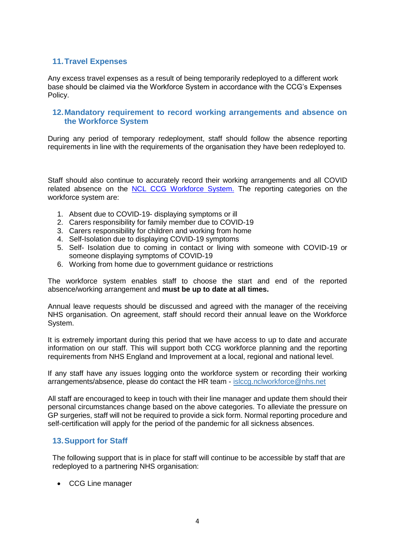## **11.Travel Expenses**

Any excess travel expenses as a result of being temporarily redeployed to a different work base should be claimed via the Workforce System in accordance with the CCG's Expenses Policy.

### **12.Mandatory requirement to record working arrangements and absence on the Workforce System**

During any period of temporary redeployment, staff should follow the absence reporting requirements in line with the requirements of the organisation they have been redeployed to.

Staff should also continue to accurately record their working arrangements and all COVID related absence on the [NCL CCG Workforce System.](https://intranet.northcentrallondonccg.nhs.uk/ncl-news/log-in-to-workforce/107576) The reporting categories on the workforce system are:

- 1. Absent due to COVID-19- displaying symptoms or ill
- 2. Carers responsibility for family member due to COVID-19
- 3. Carers responsibility for children and working from home
- 4. Self-Isolation due to displaying COVID-19 symptoms
- 5. Self- Isolation due to coming in contact or living with someone with COVID-19 or someone displaying symptoms of COVID-19
- 6. Working from home due to government guidance or restrictions

The workforce system enables staff to choose the start and end of the reported absence/working arrangement and **must be up to date at all times.**

Annual leave requests should be discussed and agreed with the manager of the receiving NHS organisation. On agreement, staff should record their annual leave on the Workforce System.

It is extremely important during this period that we have access to up to date and accurate information on our staff. This will support both CCG workforce planning and the reporting requirements from NHS England and Improvement at a local, regional and national level.

If any staff have any issues logging onto the workforce system or recording their working arrangements/absence, please do contact the HR team - [islccg.nclworkforce@nhs.net](mailto:islccg.nclworkforce@nhs.net)

All staff are encouraged to keep in touch with their line manager and update them should their personal circumstances change based on the above categories. To alleviate the pressure on GP surgeries, staff will not be required to provide a sick form. Normal reporting procedure and self-certification will apply for the period of the pandemic for all sickness absences.

#### **13.Support for Staff**

The following support that is in place for staff will continue to be accessible by staff that are redeployed to a partnering NHS organisation:

CCG Line manager